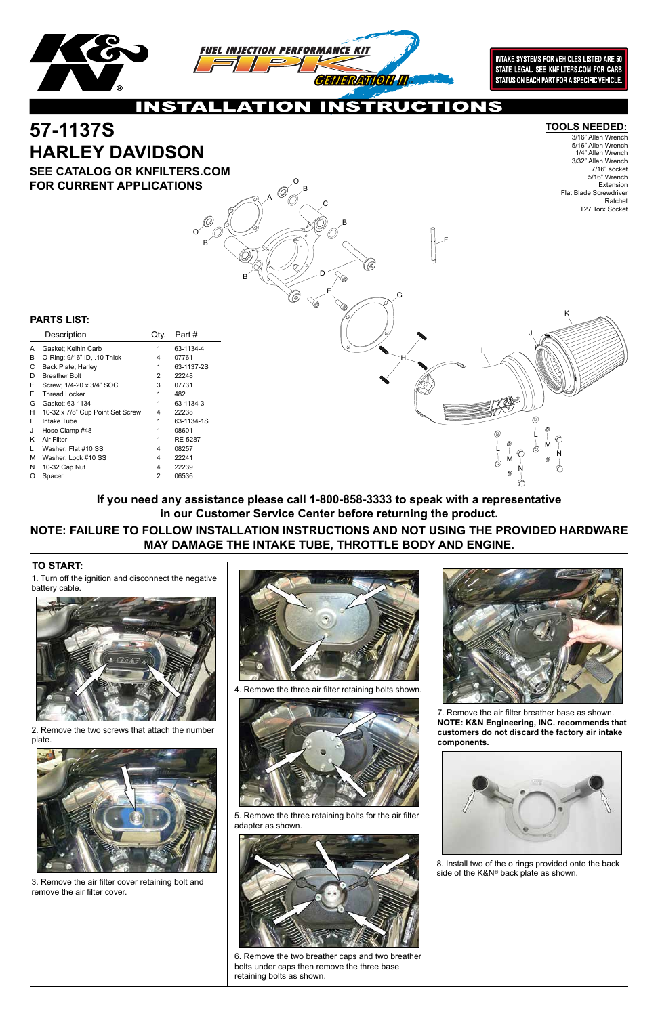### **PARTS LIST:**

| Description                      | Qtv. | Part#      |
|----------------------------------|------|------------|
| Gasket; Keihin Carb              | 1    | 63-1134-4  |
| O-Ring; 9/16" ID, .10 Thick      | 4    | 07761      |
| Back Plate; Harley               | 1    | 63-1137-2S |
| <b>Breather Bolt</b>             | 2    | 22248      |
| Screw: 1/4-20 x 3/4" SOC.        | 3    | 07731      |
| <b>Thread Locker</b>             | 1    | 482        |
| Gasket: 63-1134                  | 1    | 63-1134-3  |
| 10-32 x 7/8" Cup Point Set Screw | 4    | 22238      |
| Intake Tube                      | 1    | 63-1134-1S |
| Hose Clamp #48                   | 1    | 08601      |
| Air Filter                       | 1    | RE-5287    |
| Washer; Flat #10 SS              | 4    | 08257      |
| Washer; Lock #10 SS              | 4    | 22241      |
| 10-32 Cap Nut                    | 4    | 22239      |
| Spacer                           | 2    | 06536      |
|                                  |      |            |

1. Turn off the ignition and disconnect the negative battery cable.



2. Remove the two screws that attach the number plate.



3. Remove the air filter cover retaining bolt and remove the air filter cover.



4. Remove the three air filter retaining bolts shown.





5. Remove the three retaining bolts for the air filter adapter as shown.



6. Remove the two breather caps and two breather bolts under caps then remove the three base retaining bolts as shown.



#### **TO START:**

## **NOTE: FAILURE TO FOLLOW INSTALLATION INSTRUCTIONS AND NOT USING THE PROVIDED HARDWARE MAY DAMAGE THE INTAKE TUBE, THROTTLE BODY AND ENGINE.**

**If you need any assistance please call 1-800-858-3333 to speak with a representative in our Customer Service Center before returning the product.**

7. Remove the air filter breather base as shown. **NOTE: K&N Engineering, INC. recommends that customers do not discard the factory air intake components.**

8. Install two of the o rings provided onto the back side of the K&N® back plate as shown.



A

B

B

B

B

C

D

E

F

G

H

L

O)

L

M

M

N

N

I

J

K

O

O

**INTAKE SYSTEMS FOR VEHICLES LISTED ARE 50** STATE LEGAL, SEE KNFILTERS.COM FOR CARB STATUS ON EACH PART FOR A SPECIFIC VEHICLE.

**JCTIONS INSTAL**  $\mathbf O$ 

# **57-1137S TOOLS NEEDED: HARLEY DAVIDSON**

3/16" Allen Wrench 5/16" Allen Wrench 1/4" Allen Wrench 3/32" Allen Wrench 7/16" socket 5/16" Wrench Extension Flat Blade Screwdriver Ratchet T27 Torx Socket

**SEE CATALOG OR KNFILTERS.COM FOR CURRENT APPLICATIONS**